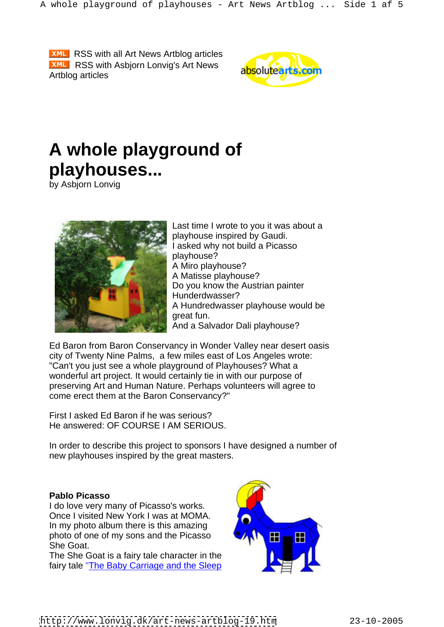**XML** RSS with all Art News Artblog articles **XML** RSS with Asbjorn Lonvig's Art News absolute arts Artblog articles



# **A whole playground of playhouses...**

by Asbjorn Lonvig



Last time I wrote to you it was about a playhouse inspired by Gaudi. I asked why not build a Picasso playhouse? A Miro playhouse? A Matisse playhouse? Do you know the Austrian painter Hunderdwasser? A Hundredwasser playhouse would be great fun. And a Salvador Dali playhouse?

Ed Baron from Baron Conservancy in Wonder Valley near desert oasis city of Twenty Nine Palms, a few miles east of Los Angeles wrote: "Can't you just see a whole playground of Playhouses? What a wonderful art project. It would certainly tie in with our purpose of preserving Art and Human Nature. Perhaps volunteers will agree to come erect them at the Baron Conservancy?"

First I asked Ed Baron if he was serious? He answered: OF COURSE I AM SERIOUS.

In order to describe this project to sponsors I have designed a number of new playhouses inspired by the great masters.

I do love very many of Picasso's works. Once I visited New York I was at MOMA. In my photo album there is this amazing photo of one of my sons and the Picasso She Goat. The South of the South of the South of the South of the South of the South of the South of the South of the South of the South of the South of the South of the South of the South of the South of the South of the

The She Goat is a fairy tale character in the fairy tale "The Baby Carriage and the Sleep

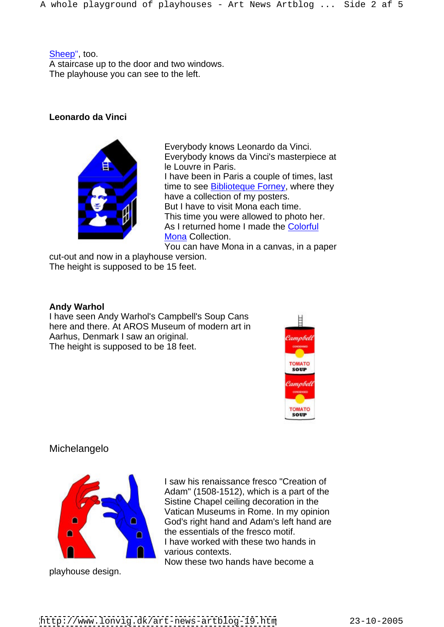Sheep", too. A staircase up to the door and two windows. The playhouse you can see to the left.

# **Leonardo da Vinci**



Everybody knows Leonardo da Vinci. Everybody knows da Vinci's masterpiece at le Louvre in Paris. I have been in Paris a couple of times, last time to see **Biblioteque Forney**, where they have a collection of my posters. But I have to visit Mona each time. This time you were allowed to photo her. As I returned home I made the Colorful Mona Collection.

You can have Mona in a canvas, in a paper cut-out and now in a playhouse version.

The height is supposed to be 15 feet.

#### **Andy Warhol**

I have seen Andy Warhol's Campbell's Soup Cans here and there. At AROS Museum of modern art in Aarhus, Denmark I saw an original. The height is supposed to be 18 feet.



# Michelangelo



playhouse design.

I saw his renaissance fresco "Creation of Adam" (1508-1512), which is a part of the Sistine Chapel ceiling decoration in the Vatican Museums in Rome. In my opinion God's right hand and Adam's left hand are the essentials of the fresco motif. I have worked with these two hands in various contexts.

Now these two hands have become a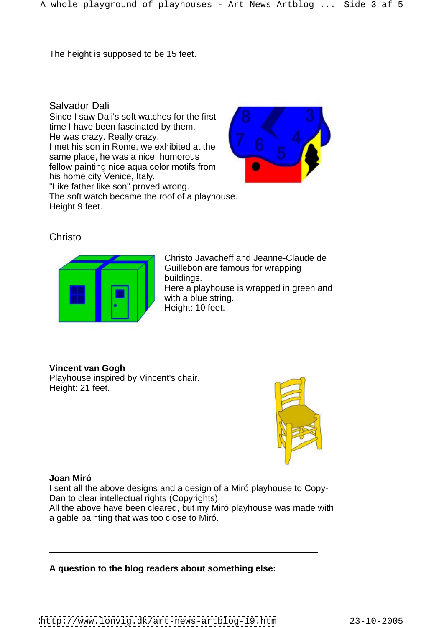The height is supposed to be 15 feet.

Salvador Dali

Since I saw Dali's soft watches for the first time I have been fascinated by them. He was crazy. Really crazy. I met his son in Rome, we exhibited at the same place, he was a nice, humorous fellow painting nice aqua color motifs from his home city Venice, Italy. "Like father like son" proved wrong. The soft watch became the roof of a playhouse. Height 9 feet.



**Christo Christo Christo Christo Christo Christo Christo Christo Christo Christo Christo Christo Christo Christo Christo Christo Christo Christo Christo Christo Christo Christo C** 



Christo Javacheff and Jeanne-Claude de Guillebon are famous for wrapping buildings. Here a playhouse is wrapped in green and with a blue string. Height: 10 feet.

**Vincent van Gogh**

Playhouse inspired by Vincent's chair. Height: 21 feet.



# **Joan Miró**

I sent all the above designs and a design of a Miró playhouse to Copy- Dan to clear intellectual rights (Copyrights).

All the above have been cleared, but my Miró playhouse was made with a gable painting that was too close to Miró. \_\_\_\_\_\_\_\_\_\_\_\_\_\_\_\_\_\_\_\_\_\_\_\_\_\_\_\_\_\_\_\_\_\_\_\_\_\_\_\_\_\_\_\_\_\_\_\_\_\_\_\_\_\_

# **A question to the blog readers about something else:**